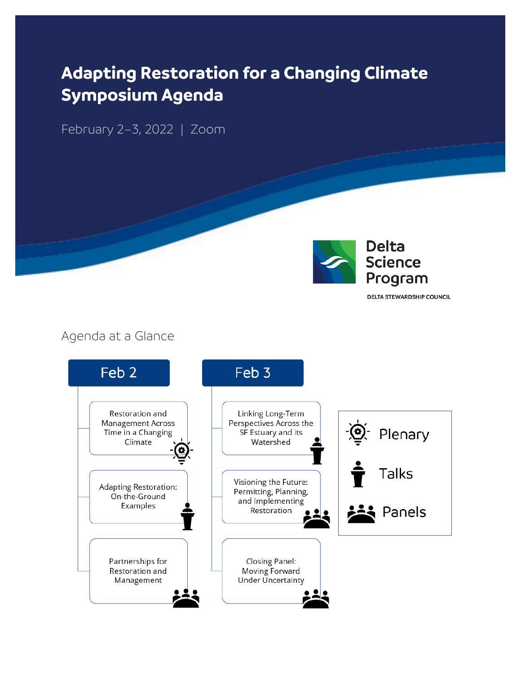# **Adapting Restoration for a Changing Climate Symposium Agenda**

February 2–3, 2022 | Zoom



**DELTA STEWARDSHIP COUNCIL** 

#### Agenda at a Glance

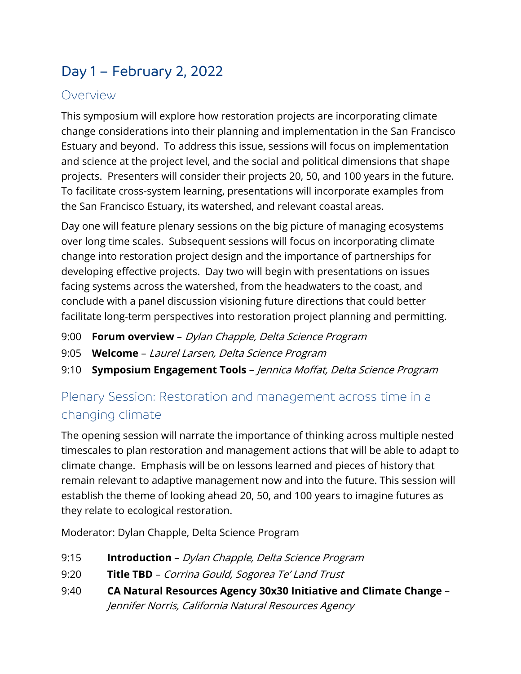## Day 1 – February 2, 2022

### Overview

This symposium will explore how restoration projects are incorporating climate change considerations into their planning and implementation in the San Francisco Estuary and beyond. To address this issue, sessions will focus on implementation and science at the project level, and the social and political dimensions that shape projects. Presenters will consider their projects 20, 50, and 100 years in the future. To facilitate cross-system learning, presentations will incorporate examples from the San Francisco Estuary, its watershed, and relevant coastal areas.

Day one will feature plenary sessions on the big picture of managing ecosystems over long time scales. Subsequent sessions will focus on incorporating climate change into restoration project design and the importance of partnerships for developing effective projects. Day two will begin with presentations on issues facing systems across the watershed, from the headwaters to the coast, and conclude with a panel discussion visioning future directions that could better facilitate long-term perspectives into restoration project planning and permitting.

- 9:00 **Forum overview** Dylan Chapple, Delta Science Program
- 9:05 **Welcome** Laurel Larsen, Delta Science Program
- 9:10 **Symposium Engagement Tools** Jennica Moffat, Delta Science Program

## Plenary Session: Restoration and management across time in a changing climate

The opening session will narrate the importance of thinking across multiple nested timescales to plan restoration and management actions that will be able to adapt to climate change. Emphasis will be on lessons learned and pieces of history that remain relevant to adaptive management now and into the future. This session will establish the theme of looking ahead 20, 50, and 100 years to imagine futures as they relate to ecological restoration.

Moderator: Dylan Chapple, Delta Science Program

- 9:15 **Introduction**  Dylan Chapple, Delta Science Program
- 9:20 **Title TBD** Corrina Gould, Sogorea Te' Land Trust
- 9:40 **CA Natural Resources Agency 30x30 Initiative and Climate Change** Jennifer Norris, California Natural Resources Agency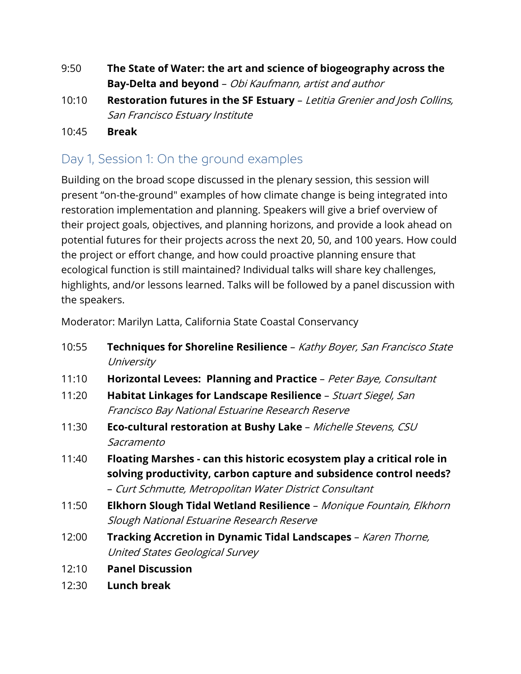- 9:50 **The State of Water: the art and science of biogeography across the Bay-Delta and beyond** – Obi Kaufmann, artist and author
- 10:10 **Restoration futures in the SF Estuary** Letitia Grenier and Josh Collins, San Francisco Estuary Institute
- 10:45 **Break**

### Day 1, Session 1: On the ground examples

Building on the broad scope discussed in the plenary session, this session will present "on-the-ground" examples of how climate change is being integrated into restoration implementation and planning. Speakers will give a brief overview of their project goals, objectives, and planning horizons, and provide a look ahead on potential futures for their projects across the next 20, 50, and 100 years. How could the project or effort change, and how could proactive planning ensure that ecological function is still maintained? Individual talks will share key challenges, highlights, and/or lessons learned. Talks will be followed by a panel discussion with the speakers.

Moderator: Marilyn Latta, California State Coastal Conservancy

- 10:55 **Techniques for Shoreline Resilience** Kathy Boyer, San Francisco State **University**
- 11:10 **Horizontal Levees: Planning and Practice**  Peter Baye, Consultant
- 11:20 **Habitat Linkages for Landscape Resilience** Stuart Siegel, San Francisco Bay National Estuarine Research Reserve
- 11:30 **Eco-cultural restoration at Bushy Lake**  Michelle Stevens, CSU Sacramento
- 11:40 **Floating Marshes - can this historic ecosystem play a critical role in solving productivity, carbon capture and subsidence control needs?** – Curt Schmutte, Metropolitan Water District Consultant
- 11:50 **Elkhorn Slough Tidal Wetland Resilience** Monique Fountain, Elkhorn Slough National Estuarine Research Reserve
- 12:00 **Tracking Accretion in Dynamic Tidal Landscapes** Karen Thorne, United States Geological Survey
- 12:10 **Panel Discussion**
- 12:30 **Lunch break**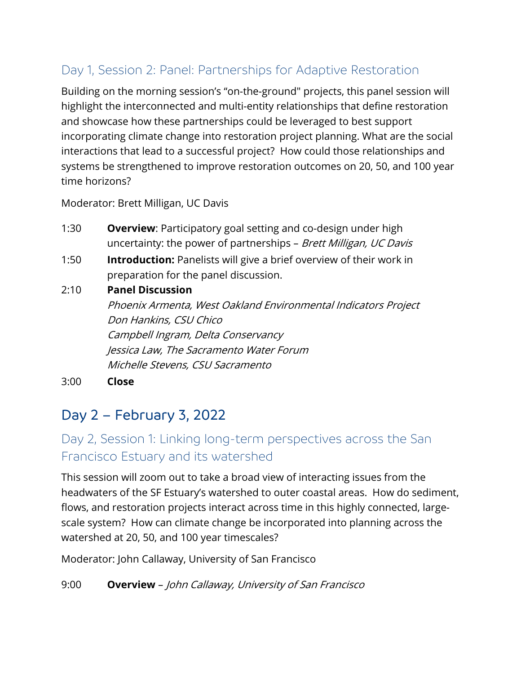## Day 1, Session 2: Panel: Partnerships for Adaptive Restoration

Building on the morning session's "on-the-ground" projects, this panel session will highlight the interconnected and multi-entity relationships that define restoration and showcase how these partnerships could be leveraged to best support incorporating climate change into restoration project planning. What are the social interactions that lead to a successful project? How could those relationships and systems be strengthened to improve restoration outcomes on 20, 50, and 100 year time horizons?

Moderator: Brett Milligan, UC Davis

- 1:30 **Overview**: Participatory goal setting and co-design under high uncertainty: the power of partnerships - Brett Milligan, UC Davis
- 1:50 **Introduction:** Panelists will give a brief overview of their work in preparation for the panel discussion.

#### 2:10 **Panel Discussion**

Phoenix Armenta, West Oakland Environmental Indicators Project Don Hankins, CSU Chico Campbell Ingram, Delta Conservancy Jessica Law, The Sacramento Water Forum Michelle Stevens, CSU Sacramento

3:00 **Close**

## Day 2 – February 3, 2022

## Day 2, Session 1: Linking long-term perspectives across the San Francisco Estuary and its watershed

This session will zoom out to take a broad view of interacting issues from the headwaters of the SF Estuary's watershed to outer coastal areas. How do sediment, flows, and restoration projects interact across time in this highly connected, largescale system? How can climate change be incorporated into planning across the watershed at 20, 50, and 100 year timescales?

Moderator: John Callaway, University of San Francisco

9:00 **Overview** – John Callaway, University of San Francisco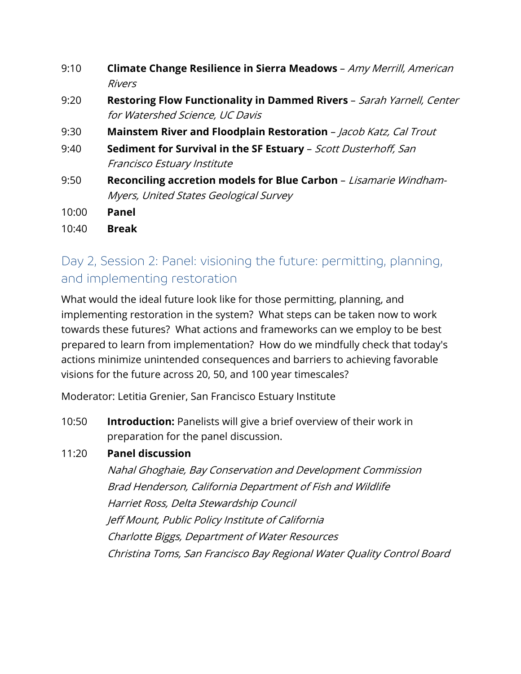- 9:10 **Climate Change Resilience in Sierra Meadows** Amy Merrill, American Rivers
- 9:20 **Restoring Flow Functionality in Dammed Rivers** Sarah Yarnell, Center for Watershed Science, UC Davis
- 9:30 **Mainstem River and Floodplain Restoration** Jacob Katz, Cal Trout
- 9:40 **Sediment for Survival in the SF Estuary** Scott Dusterhoff, San Francisco Estuary Institute
- 9:50 **Reconciling accretion models for Blue Carbon**  Lisamarie Windham-Myers, United States Geological Survey
- 10:00 **Panel**
- 10:40 **Break**

## Day 2, Session 2: Panel: visioning the future: permitting, planning, and implementing restoration

What would the ideal future look like for those permitting, planning, and implementing restoration in the system? What steps can be taken now to work towards these futures? What actions and frameworks can we employ to be best prepared to learn from implementation? How do we mindfully check that today's actions minimize unintended consequences and barriers to achieving favorable visions for the future across 20, 50, and 100 year timescales?

Moderator: Letitia Grenier, San Francisco Estuary Institute

10:50 **Introduction:** Panelists will give a brief overview of their work in preparation for the panel discussion.

#### 11:20 **Panel discussion**

Nahal Ghoghaie, Bay Conservation and Development Commission Brad Henderson, California Department of Fish and Wildlife Harriet Ross, Delta Stewardship Council Jeff Mount, Public Policy Institute of California Charlotte Biggs, Department of Water Resources Christina Toms, San Francisco Bay Regional Water Quality Control Board